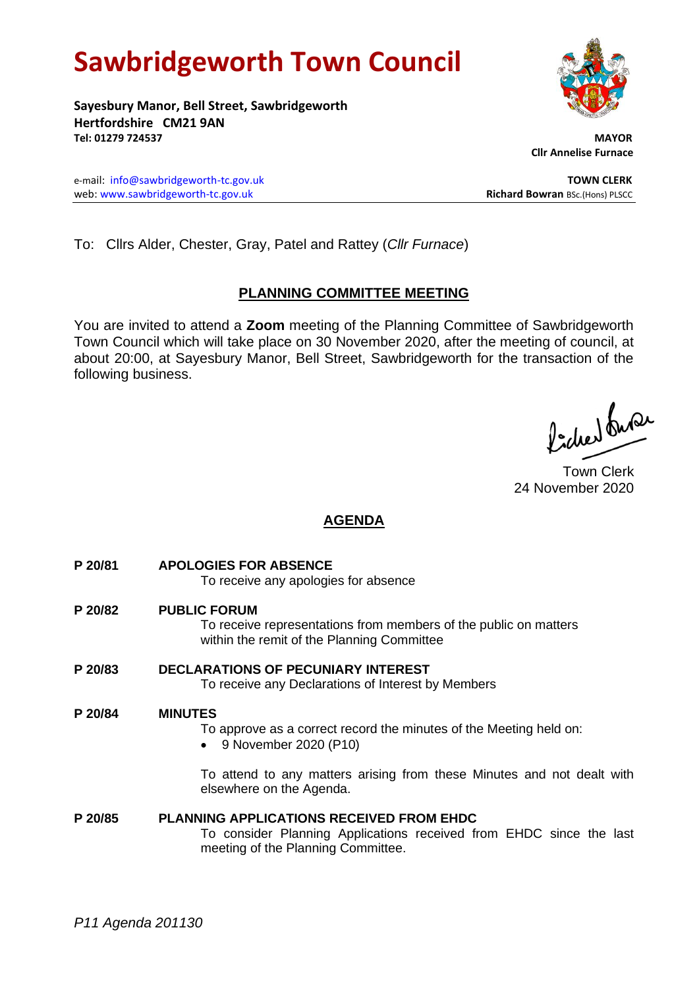# **Sawbridgeworth Town Council**

**Sayesbury Manor, Bell Street, Sawbridgeworth Hertfordshire CM21 9AN Tel: 01279 724537 MAYOR**

e-mail: [info@sawbridgeworth-tc.gov.uk](mailto:info@sawbridgeworth-tc.gov.uk) **TOWN CLERK** web: www.sawbridgeworth-tc.gov.uk<br> **Richard Bowran** BSc.(Hons) PLSCC

To: Cllrs Alder, Chester, Gray, Patel and Rattey (*Cllr Furnace*)

## **PLANNING COMMITTEE MEETING**

You are invited to attend a **Zoom** meeting of the Planning Committee of Sawbridgeworth Town Council which will take place on 30 November 2020, after the meeting of council, at about 20:00, at Sayesbury Manor, Bell Street, Sawbridgeworth for the transaction of the following business.

ladres buse

Town Clerk 24 November 2020

### **AGENDA**

- **P 20/81 APOLOGIES FOR ABSENCE** To receive any apologies for absence
- **P 20/82 PUBLIC FORUM** To receive representations from members of the public on matters within the remit of the Planning Committee
- **P 20/83 DECLARATIONS OF PECUNIARY INTEREST** To receive any Declarations of Interest by Members

#### **P 20/84 MINUTES**

- To approve as a correct record the minutes of the Meeting held on:
- 9 November 2020 (P10)

To attend to any matters arising from these Minutes and not dealt with elsewhere on the Agenda.

**P 20/85 PLANNING APPLICATIONS RECEIVED FROM EHDC** To consider Planning Applications received from EHDC since the last meeting of the Planning Committee.



 **Cllr Annelise Furnace**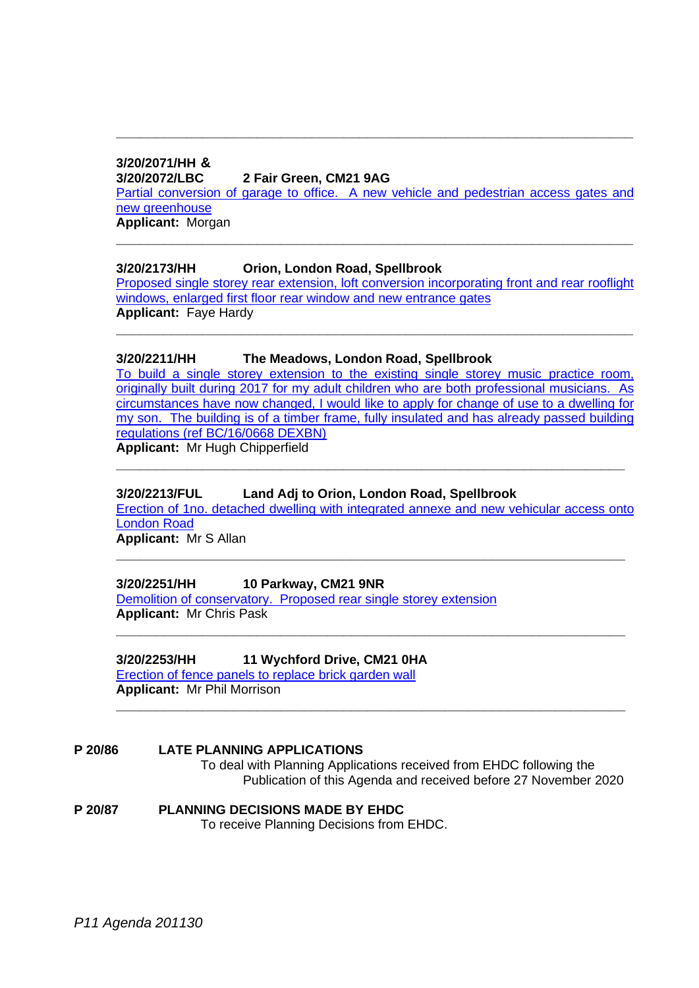# **3/20/2071/HH &**

#### **3/20/2072/LBC 2 Fair Green, CM21 9AG**

[Partial conversion of garage to office. A new vehicle and pedestrian access gates and](https://publicaccess.eastherts.gov.uk/online-applications/applicationDetails.do?activeTab=documents&keyVal=QILCUVGLJ2Z00)  [new greenhouse](https://publicaccess.eastherts.gov.uk/online-applications/applicationDetails.do?activeTab=documents&keyVal=QILCUVGLJ2Z00)

**\_\_\_\_\_\_\_\_\_\_\_\_\_\_\_\_\_\_\_\_\_\_\_\_\_\_\_\_\_\_\_\_\_\_\_\_\_\_\_\_\_\_\_\_\_\_\_\_\_\_\_\_\_\_\_\_\_\_\_\_\_\_\_\_\_\_**

**Applicant:** Morgan **\_\_\_\_\_\_\_\_\_\_\_\_\_\_\_\_\_\_\_\_\_\_\_\_\_\_\_\_\_\_\_\_\_\_\_\_\_\_\_\_\_\_\_\_\_\_\_\_\_\_\_\_\_\_\_\_\_\_\_\_\_\_\_\_\_\_**

#### **3/20/2173/HH Orion, London Road, Spellbrook**

[Proposed single storey rear extension, loft conversion incorporating front and rear rooflight](https://publicaccess.eastherts.gov.uk/online-applications/applicationDetails.do?activeTab=documents&keyVal=QJBO14GLJAC00)  [windows, enlarged first floor rear window and new entrance gates](https://publicaccess.eastherts.gov.uk/online-applications/applicationDetails.do?activeTab=documents&keyVal=QJBO14GLJAC00) **Applicant:** Faye Hardy

**\_\_\_\_\_\_\_\_\_\_\_\_\_\_\_\_\_\_\_\_\_\_\_\_\_\_\_\_\_\_\_\_\_\_\_\_\_\_\_\_\_\_\_\_\_\_\_\_\_\_\_\_\_\_\_\_\_\_\_\_\_\_\_\_\_\_**

#### **3/20/2211/HH The Meadows, London Road, Spellbrook**

[To build a single storey extension to the existing single storey music practice](https://publicaccess.eastherts.gov.uk/online-applications/applicationDetails.do?activeTab=documents&keyVal=QJKMDWGLJCV00) room, [originally built during 2017 for my adult children who are both professional musicians. As](https://publicaccess.eastherts.gov.uk/online-applications/applicationDetails.do?activeTab=documents&keyVal=QJKMDWGLJCV00)  [circumstances have now changed, I would like to apply for change of use to a dwelling for](https://publicaccess.eastherts.gov.uk/online-applications/applicationDetails.do?activeTab=documents&keyVal=QJKMDWGLJCV00) [my son. The building is of a timber frame, fully insulated and has already passed building](https://publicaccess.eastherts.gov.uk/online-applications/applicationDetails.do?activeTab=documents&keyVal=QJKMDWGLJCV00)  [regulations \(ref BC/16/0668 DEXBN\)](https://publicaccess.eastherts.gov.uk/online-applications/applicationDetails.do?activeTab=documents&keyVal=QJKMDWGLJCV00) **Applicant:** Mr Hugh Chipperfield

#### **3/20/2213/FUL Land Adj to Orion, London Road, Spellbrook**

[Erection of 1no. detached dwelling with integrated annexe and new](https://publicaccess.eastherts.gov.uk/online-applications/applicationDetails.do?activeTab=documents&keyVal=QJKXF1GLJCY00) vehicular access onto [London Road](https://publicaccess.eastherts.gov.uk/online-applications/applicationDetails.do?activeTab=documents&keyVal=QJKXF1GLJCY00)

**\_\_\_\_\_\_\_\_\_\_\_\_\_\_\_\_\_\_\_\_\_\_\_\_\_\_\_\_\_\_\_\_\_\_\_\_\_\_\_\_\_\_\_\_\_\_\_\_\_\_\_\_\_\_\_\_\_\_\_\_\_\_\_\_\_**

**\_\_\_\_\_\_\_\_\_\_\_\_\_\_\_\_\_\_\_\_\_\_\_\_\_\_\_\_\_\_\_\_\_\_\_\_\_\_\_\_\_\_\_\_\_\_\_\_\_\_\_\_\_\_\_\_\_\_\_\_\_\_\_\_\_**

**\_\_\_\_\_\_\_\_\_\_\_\_\_\_\_\_\_\_\_\_\_\_\_\_\_\_\_\_\_\_\_\_\_\_\_\_\_\_\_\_\_\_\_\_\_\_\_\_\_\_\_\_\_\_\_\_\_\_\_\_\_\_\_\_\_**

**\_\_\_\_\_\_\_\_\_\_\_\_\_\_\_\_\_\_\_\_\_\_\_\_\_\_\_\_\_\_\_\_\_\_\_\_\_\_\_\_\_\_\_\_\_\_\_\_\_\_\_\_\_\_\_\_\_\_\_\_\_\_\_\_\_**

**Applicant:** Mr S Allan

#### **3/20/2251/HH 10 Parkway, CM21 9NR**

[Demolition of conservatory. Proposed rear single storey extension](https://publicaccess.eastherts.gov.uk/online-applications/applicationDetails.do?activeTab=documents&keyVal=QJQHFAGLJEW00) **Applicant:** Mr Chris Pask

#### **3/20/2253/HH 11 Wychford Drive, CM21 0HA**

[Erection of fence panels to replace brick garden wall](https://publicaccess.eastherts.gov.uk/online-applications/applicationDetails.do?activeTab=documents&keyVal=QJQSK7GLJF100) **Applicant:** Mr Phil Morrison

#### **P 20/86 LATE PLANNING APPLICATIONS** To deal with Planning Applications received from EHDC following the Publication of this Agenda and received before 27 November 2020

#### **P 20/87 PLANNING DECISIONS MADE BY EHDC** To receive Planning Decisions from EHDC.